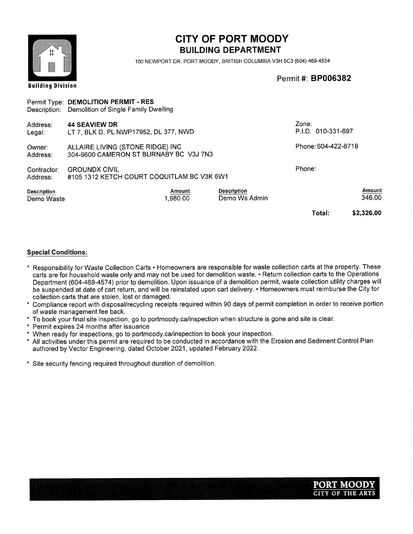#### Building Division CITY OF PORT MOODY BUILDING DEPARTMENT 100 NEWPORT DR. PORT MOODY, BRITISH COLUMBIA V3H 5C3 (604) 469-4534 Permit#: BP006382 Description: Demolition of Single Family Dwelling Phone: 604-422-8718 Phone: Total: \$2,326.00 Owner: Address: Contractor: Address: Address: Legal: 44 SEAVIEW DR LT 7, BLK D, PL NWP17952, DL 377, NWD ALLAIRE LIVING (STONE RIDGE) INC 304-9600 CAMERON ST BURNABY BC V3J 7N3 Zone: P.I.D. 010-331-697 GROUNDX CIVIL #105 1312 KETCH COURT COQUITLAM BC V3K 6W1 Permit Type: DEMOLITION PERMIT - RES Description Demo Waste Amount 346.00 Amount 1,980.00 Description Demo Ws Admin

- \* Responsibility for Waste Collection Carts Homeowners are responsible for waste collection carts at the property. These carts are for household waste only and may not be used for demolition waste. • Return collection carts to the Operations Department (604-469-4574) prior to demolition. Upon issuance of a demolition permit, waste collection utility charges will be suspended at date of cart return, and will be reinstated upon cart delivery. • Homeowners must reimburse the City for collection carts that are stolen, lost or damaged.
- Compliance report with disposal/recycling receipts required within 90 days of permit completion in order to receive portion of waste management fee back.
- To book your final site inspection, go to portmoody.ca/inspection when structure is gone and site is clear.
- Permit expires 24 months after issuance
- When ready for inspections, go to portmoody.ca/inspection to book your inspection.
- All activities under this permit are required to be conducted in accordance with the Erosion and Sediment Control Plan authored by Vector Engineering, dated October 2021, updated February 2022.
- Site security fencing required throughout duration of demolition.

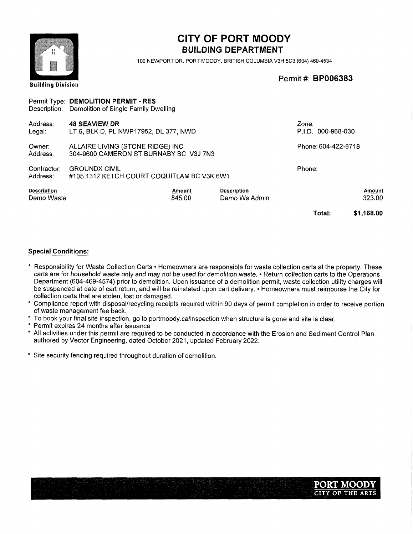| 尊良<br>森容                  |                                                                                           |                  | <b>CITY OF PORT MOODY</b><br><b>BUILDING DEPARTMENT</b>             |                             |                  |
|---------------------------|-------------------------------------------------------------------------------------------|------------------|---------------------------------------------------------------------|-----------------------------|------------------|
| <b>Building Division</b>  |                                                                                           |                  | 100 NEWPORT DR. PORT MOODY, BRITISH COLUMBIA V3H 5C3 (604) 469-4534 | Permit #: <b>BP006383</b>   |                  |
|                           | Permit Type: DEMOLITION PERMIT - RES<br>Description: Demolition of Single Family Dwelling |                  |                                                                     |                             |                  |
| Address:<br>Legal:        | <b>48 SEAVIEW DR</b><br>LT 6, BLK D, PL NWP17952, DL 377, NWD                             |                  |                                                                     | Zone:<br>P.I.D. 000-968-030 |                  |
| Owner:<br>Address:        | ALLAIRE LIVING (STONE RIDGE) INC<br>304-9600 CAMERON ST BURNABY BC V3J 7N3                |                  |                                                                     | Phone: 604-422-8718         |                  |
| Contractor:<br>Address:   | <b>GROUNDX CIVIL</b><br>#105 1312 KETCH COURT COQUITLAM BC V3K 6W1                        |                  |                                                                     | Phone:                      |                  |
| Description<br>Demo Waste |                                                                                           | Amount<br>845.00 | Description<br>Demo Ws Admin                                        |                             | Amount<br>323.00 |
|                           |                                                                                           |                  |                                                                     | Total:                      | \$1,168.00       |

- \* Responsibility for Waste Collection Carts Homeowners are responsible for waste collection carts at the property. These carts are for household waste only and may not be used for demolition waste. • Return collection carts to the Operations Department (604-469-4574) prior to demolition. Upon issuance of a demolition permit, waste collection utility charges will be suspended at date of cart return, and will be reinstated upon cart delivery. • Homeowners must reimburse the City for collection carts that are stolen, lost or damaged.
- Compliance report with disposal/recycling receipts required within 90 days of permit completion in order to receive portion of waste management fee back.
- To book your final site inspection, go to portmoody.ca/inspection when structure is gone and site is clear.
- Permit expires 24 months after issuance
- All activities under this permit are required to be conducted in accordance with the Erosion and Sediment Control Plan authored by Vector Engineering, dated October 2021, updated February 2022.
- Site security fencing required throughout duration of demolition.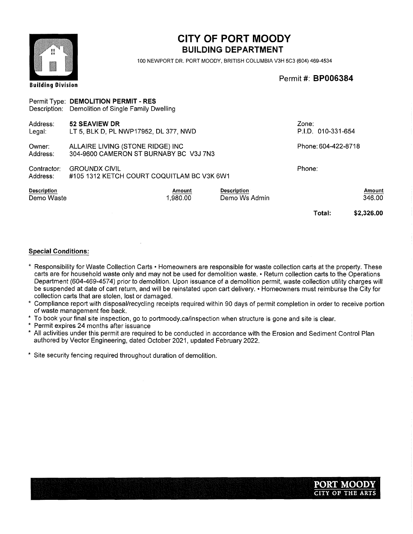| 首読<br>算読                         |                                                                                           | <b>CITY OF PORT MOODY</b><br><b>BUILDING DEPARTMENT</b><br>100 NEWPORT DR. PORT MOODY, BRITISH COLUMBIA V3H 5C3 (604) 469-4534 |                             |                  |  |
|----------------------------------|-------------------------------------------------------------------------------------------|--------------------------------------------------------------------------------------------------------------------------------|-----------------------------|------------------|--|
| <b>Building Division</b>         |                                                                                           |                                                                                                                                | Permit #: <b>BP006384</b>   |                  |  |
|                                  | Permit Type: DEMOLITION PERMIT - RES<br>Description: Demolition of Single Family Dwelling |                                                                                                                                |                             |                  |  |
| Address:<br>Legal:               | 52 SEAVIEW DR<br>LT 5, BLK D, PL NWP17952, DL 377, NWD                                    |                                                                                                                                | Zone:<br>P.I.D. 010-331-654 |                  |  |
| Owner:<br>Address:               | ALLAIRE LIVING (STONE RIDGE) INC<br>304-9600 CAMERON ST BURNABY BC V3J 7N3                |                                                                                                                                | Phone: 604-422-8718         |                  |  |
| Contractor:<br>Address:          | <b>GROUNDX CIVIL</b><br>#105 1312 KETCH COURT COQUITLAM BC V3K 6W1                        |                                                                                                                                | Phone:                      |                  |  |
| <b>Description</b><br>Demo Waste | <b>Amount</b><br>1,980.00                                                                 | <b>Description</b><br>Demo Ws Admin                                                                                            |                             | Amount<br>346.00 |  |
|                                  |                                                                                           |                                                                                                                                | Total:                      | \$2,326.00       |  |

- \* Responsibility for Waste Collection Carts Homeowners are responsible for waste collection carts at the property. These carts are for household waste only and may not be used for demolition waste. • Return collection carts to the Operations Department (604-469-4574) prior to demolition. Upon issuance of a demolition permit, waste collection utility charges will be suspended at date of cart return, and will be reinstated upon cart delivery. • Homeowners must reimburse the City for collection carts that are stolen, lost or damaged.
- Compliance report with disposal/recycling receipts required within 90 days of permit completion in order to receive portion of waste management fee back.
- To book your final site inspection, go to portmoody.ca/inspection when structure is gone and site is clear.
- Permit expires 24 months after issuance
- All activities under this permit are required to be conducted in accordance with the Erosion and Sediment Control Plan authored by Vector Engineering, dated October 2021, updated February 2022.
- Site security fencing required throughout duration of demolition.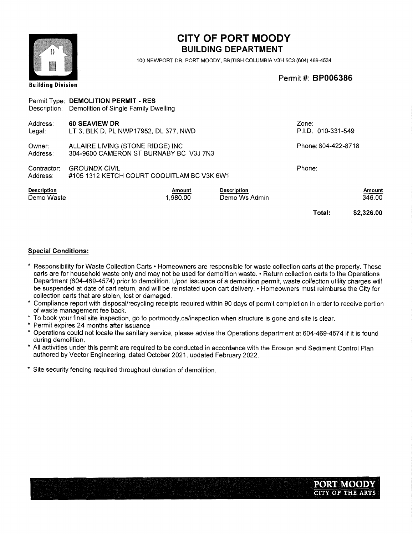

Building Division

# CITY OF PORT MOODY **BUILDING DEPARTMENT**

100 NEWPORT DR. PORT MOODY, BRITISH COLUMBIA V3H 5C3 (604) 469-4534

Permit#: BP006386

#### Description: Demolition of Single Family Dwelling Phone: 604-422-8718 Phone: Total: \$2,326.00 Owner: Address: Contractor: Address: Address: Legal: ALLAIRE LIVING (STONE RIDGE) INC 304-9600 CAMERON ST BURNABY BC V3J 7N3 **GROUNDX CIVIL** #105 1312 KETCH COURT COQUITLAM BC V3K 6W1 60 SEAVIEW DR LT 3, BLK D, PL NWP17952, DL 377, NWD Zone: P.I.D. 010-331-549 Permit Type: DEMOLITION PERMIT - RES Description Demo Waste Amount 346.00 Amount 1,980.00 Description Demo Ws Admin

- \* Responsibility for Waste Collection Carts Homeowners are responsible for waste collection carts at the property. These carts are for household waste only and may not be used for demolition waste. • Return collection carts to the Operations Department (604-469-4574) prior to demolition. Upon issuance of a demolition permit, waste collection utility charges will be suspended at date of cart return, and will be reinstated upon cart delivery. • Homeowners must reimburse the City for collection carts that are stolen, lost or damaged.
- Compliance report with disposal/recycling receipts required within 90 days of permit completion in order to receive portion of waste management fee back.
- To book your final site inspection, go to portmoody.ca/inspection when structure is gone and site is clear.
- Permit expires 24 months after issuance
- Operations could not locate the sanitary service, please advise the Operations department at 604-469-4574 if it is found during demolition.
- All activities under this permit are required to be conducted in accordance with the Erosion and Sediment Control Plan authored by Vector Engineering, dated October 2021, updated February 2022.
- Site security fencing required throughout duration of demolition.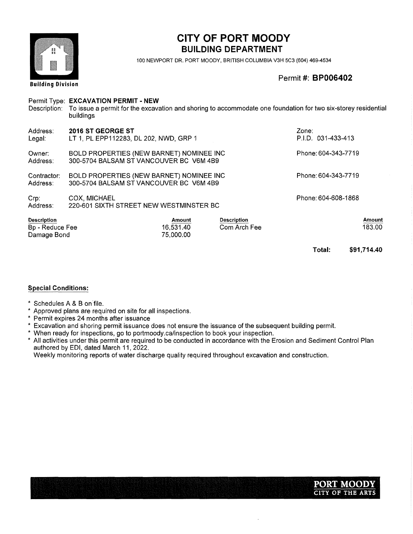

# CITY OF PORT MOODY **BUILDING DEPARTMENT**

100 NEWPORT DR. PORT MOODY, BRITISH COLUMBIA V3H 5C3 (604) 469-4534

Permit#: BP006402

| Description:                                         | Permit Type: EXCAVATION PERMIT - NEW<br>To issue a permit for the excavation and shoring to accommodate one foundation for two six-storey residential<br>buildings |                                  |                                    |                             |                  |
|------------------------------------------------------|--------------------------------------------------------------------------------------------------------------------------------------------------------------------|----------------------------------|------------------------------------|-----------------------------|------------------|
| Address:<br>Legal:                                   | 2016 ST GEORGE ST<br>LT 1, PL EPP112283, DL 202, NWD, GRP 1                                                                                                        |                                  |                                    | Zone:<br>P.I.D. 031-433-413 |                  |
| Owner:<br>Address:                                   | BOLD PROPERTIES (NEW BARNET) NOMINEE INC<br>300-5704 BALSAM ST VANCOUVER BC V6M 4B9                                                                                |                                  |                                    | Phone: 604-343-7719         |                  |
| Contractor:<br>Address:                              | BOLD PROPERTIES (NEW BARNET) NOMINEE INC<br>300-5704 BALSAM ST VANCOUVER BC V6M 4B9                                                                                |                                  |                                    | Phone: 604-343-7719         |                  |
| Crp:<br>Address:                                     | COX. MICHAEL<br>220-601 SIXTH STREET NEW WESTMINSTER BC                                                                                                            |                                  |                                    | Phone: 604-608-1868         |                  |
| <b>Description</b><br>Bp - Reduce Fee<br>Damage Bond |                                                                                                                                                                    | Amount<br>16.531.40<br>75,000.00 | <b>Description</b><br>Com Arch Fee |                             | Amount<br>183.00 |
|                                                      |                                                                                                                                                                    |                                  |                                    | Total:                      | \$91,714.40      |

#### Special Conditions:

- \* Schedules A & B on file.
- Approved plans are required on site for all inspections.
- Permit expires 24 months after issuance
- Excavation and shoring permit issuance does not ensure the issuance of the subsequent building permit.
- \* When ready for inspections, go to portmoody.ca/inspection to book your inspection.
- All activities under this permit are required to be conducted in accordance with the Erosion and Sediment Control Plan authored by EDI, dated March 11,2022.

Weekly monitoring reports of water discharge quality required throughout excavation and construction.

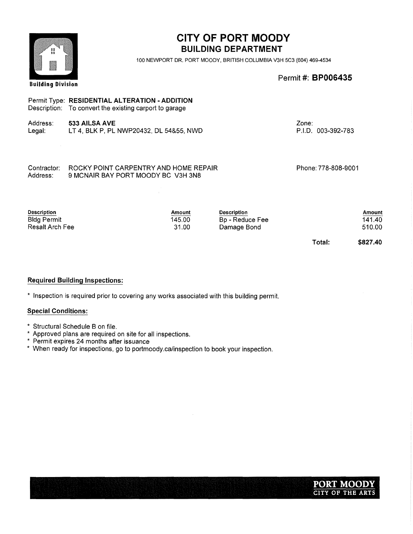| 計算<br>数数                                                           |                                                                                                          | <b>CITY OF PORT MOODY</b><br><b>BUILDING DEPARTMENT</b><br>100 NEWPORT DR, PORT MOODY, BRITISH COLUMBIA V3H 5C3 (604) 469-4534 |                                                      |                             |                                        |
|--------------------------------------------------------------------|----------------------------------------------------------------------------------------------------------|--------------------------------------------------------------------------------------------------------------------------------|------------------------------------------------------|-----------------------------|----------------------------------------|
| <b>Building Division</b>                                           |                                                                                                          |                                                                                                                                |                                                      | Permit #: <b>BP006435</b>   |                                        |
|                                                                    | Permit Type: RESIDENTIAL ALTERATION - ADDITION<br>Description: To convert the existing carport to garage |                                                                                                                                |                                                      |                             |                                        |
| Address:<br>Legal:                                                 | 533 AILSA AVE<br>LT 4, BLK P, PL NWP20432, DL 54&55, NWD                                                 |                                                                                                                                |                                                      | Zone:<br>P.I.D. 003-392-783 |                                        |
| Contractor:<br>Address:                                            | 9 MCNAIR BAY PORT MOODY BC V3H 3N8                                                                       | ROCKY POINT CARPENTRY AND HOME REPAIR                                                                                          |                                                      | Phone: 778-808-9001         |                                        |
| <b>Description</b><br><b>Bldg Permit</b><br><b>Resalt Arch Fee</b> |                                                                                                          | Amount<br>145.00<br>31.00                                                                                                      | <b>Description</b><br>Bp - Reduce Fee<br>Damage Bond | Total:                      | Amount<br>141.40<br>510.00<br>\$827.40 |

### Required Building Inspections:

\* Inspection is required prior to covering any works associated with this building permit.

- Structural Schedule B on file.
- Approved plans are required on site for all inspections.
- Permit expires 24 months after issuance
- When ready for inspections, go to portmoody.ca/inspection to book your inspection.

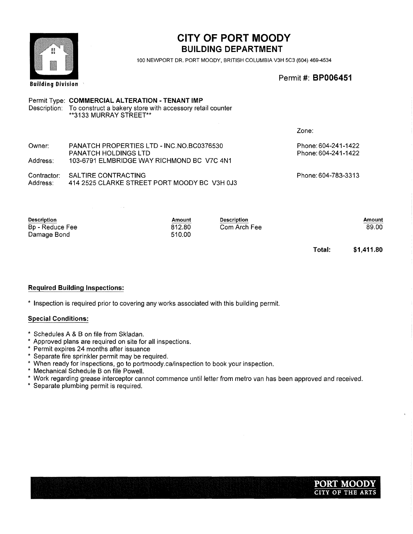# CITY OF PORT MOODY BUILDING DEPARTMENT

100 NEWPORT DR. PORT MOODY, BRITISH COLUMBIA V3H 5C3 (604) 469-4534

Permit #: BP006451

#### **Building Division** Permit Type: COMMERCIAL ALTERATION - TENANT IMP Description: To construct a bakery store with accessory retail counter 3133 MURRAY STREET\*\* Zone: Owner: PANATCH PROPERTIES LTD - INC.NO.BC0376530 Phone:604-241-1422 Phone:604-241-1422 PANATCH HOLDINGS LTD Address: 103-6791 ELMBRIDGE WAY RICHMOND BC V7C 4N1 Contractor: SALTIRE CONTRACTING Phone:604-783-3313 Address: 414 2525 CLARKE STREET PORT MOODY BC V3H 0J3 Description Amount Description **Amount** Bp - Reduce Fee 812.80 Com Arch Fee 510.00 Damage Bond

Total: \$1,411.80

89.00

#### Required Building Inspections:

\* Inspection is required prior to covering any works associated with this building permit.

- \* Schedules A & B on file from Skladan.
- \* Approved plans are required on site for all inspections.
- \* Permit expires 24 months after issuance
- \* Separate fire sprinkler permit may be required.
- \* When ready for inspections, go to portmoody.ca/inspection to book your inspection.
- \* Mechanical Schedule B on file Powell.
- \* Work regarding grease interceptor cannot commence until letter from metro van has been approved and received.
- \* Separate plumbing permit is required.

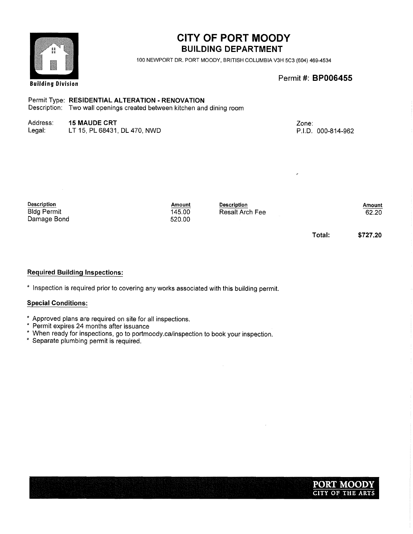

## CITY OF PORT MOODY BUILDING DEPARTMENT

100 NEWPORT DR. PORT MOODY, BRITISH COLUMBIA V3H 5C3 (604) 469-4534

Permit#: BP006455

### Permit Type: RESIDENTIAL ALTERATION - RENOVATION

Description: Two wall openings created between kitchen and dining room

### Address: 15 MAUDE CRT

| Legal: | LT 15, PL 68431, DL 470, NWD |  |
|--------|------------------------------|--|
|--------|------------------------------|--|

Zone: P.I.D. 000-814-962

| <b>Description</b>                | Amount           | <b>Description</b> |        | Amount   |
|-----------------------------------|------------------|--------------------|--------|----------|
| <b>Bldg Permit</b><br>Damage Bond | 145.00<br>520.00 | Resalt Arch Fee    |        | 62.20    |
|                                   |                  |                    | Total: | \$727,20 |

#### Required Building Inspections:

\* Inspection is required prior to covering any works associated with this building permit.

- Approved plans are required on site for all inspections.
- \* Permit expires 24 months after issuance
- When ready for inspections, go to portmoody.ca/inspection to book your inspection.
- Separate plumbing permit is required.

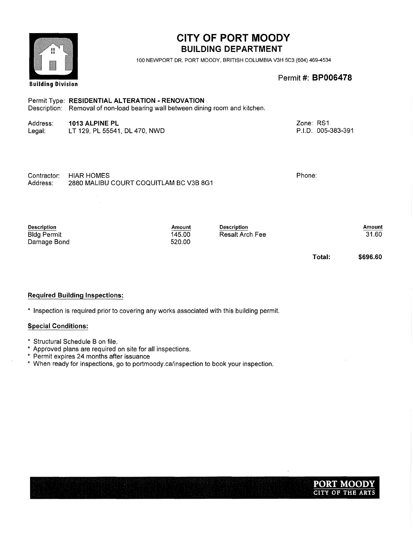| 音鼓<br>基督<br><b>Building Division</b>                    |                                                                                                                                    | <b>CITY OF PORT MOODY</b><br><b>BUILDING DEPARTMENT</b><br>100 NEWPORT DR. PORT MOODY, BRITISH COLUMBIA V3H 5C3 (604) 469-4534<br>Permit #: <b>BP006478</b> |                                              |                                 |                 |
|---------------------------------------------------------|------------------------------------------------------------------------------------------------------------------------------------|-------------------------------------------------------------------------------------------------------------------------------------------------------------|----------------------------------------------|---------------------------------|-----------------|
|                                                         | Permit Type: RESIDENTIAL ALTERATION - RENOVATION<br>Description: Removal of non-load bearing wall between dining room and kitchen. |                                                                                                                                                             |                                              |                                 |                 |
| Address:<br>Legal:                                      | 1013 ALPINE PL<br>LT 129, PL 55541, DL 470, NWD                                                                                    |                                                                                                                                                             |                                              | Zone: RS1<br>P.I.D. 005-383-391 |                 |
| Contractor:<br>Address:                                 | <b>HIAR HOMES</b><br>2880 MALIBU COURT COQUITLAM BC V3B 8G1                                                                        |                                                                                                                                                             |                                              | Phone:                          |                 |
| <b>Description</b><br><b>Bldg Permit</b><br>Damage Bond |                                                                                                                                    | Amount<br>145.00<br>520.00                                                                                                                                  | <b>Description</b><br><b>Resalt Arch Fee</b> |                                 | Amount<br>31.60 |
|                                                         |                                                                                                                                    |                                                                                                                                                             |                                              | Total:                          | \$696.60        |

### Required Building Inspections:

\* Inspection is required prior to covering any works associated with this building permit.

- Structural Schedule B on file.
- Approved plans are required on site for all inspections.
- Permit expires 24 months after issuance
- When ready for inspections, go to portmoody.ca/inspection to book your inspection.